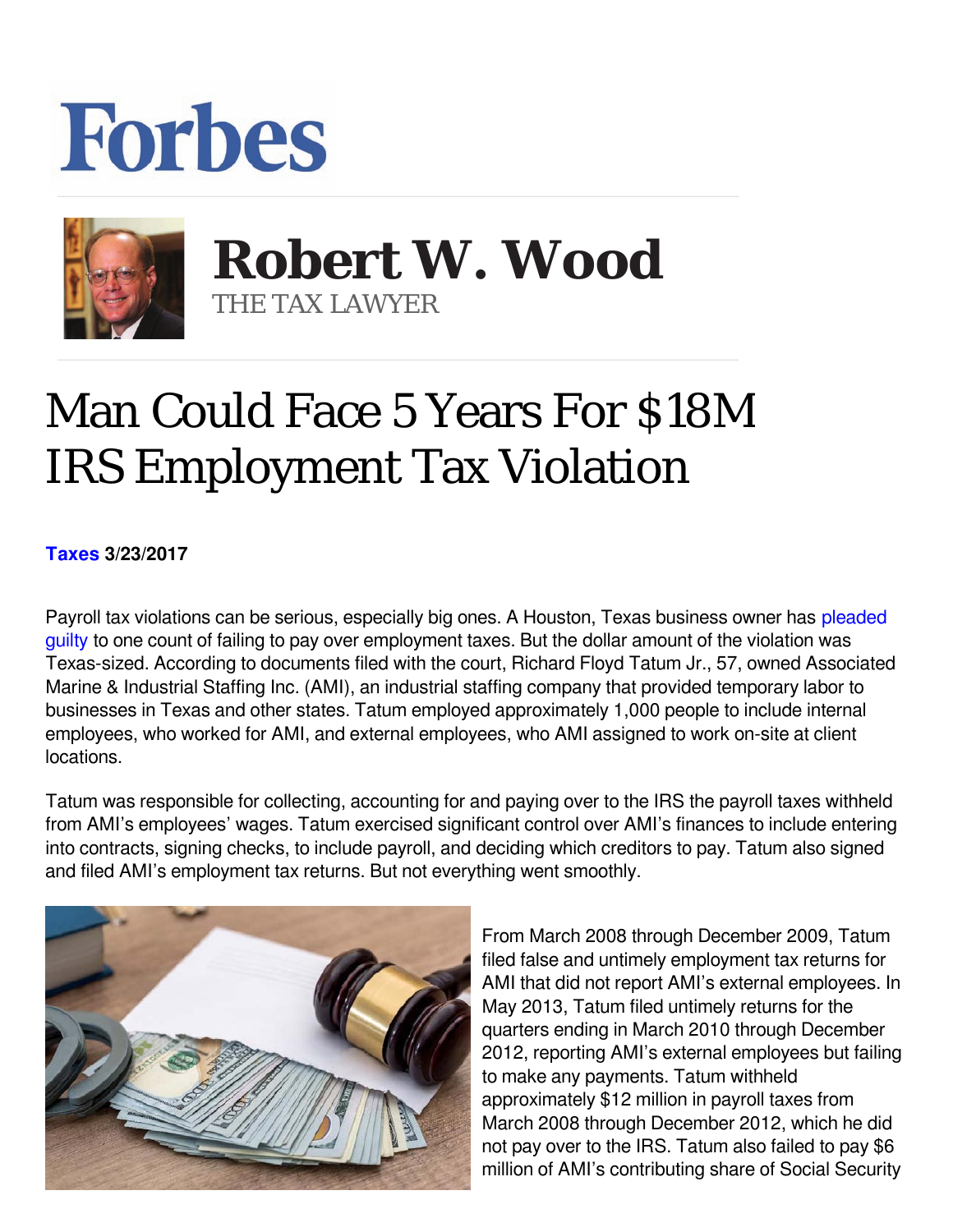## **Forbes**



**Robert W. Wood Robert W. Wood** THE TAX LAWYER THE TAX LAWYER

## Man Could Face 5 Years For \$18M IRS Employment Tax Violation

**[Taxes](https://www.forbes.com/taxes) 3/23/2017** 

Payroll tax violations can be serious, especially big ones. A Houston, Texas business owner has [pleaded](https://www.justice.gov/opa/pr/texas-business-owner-pleads-guilty-not-paying-approximately-18-million-employment-taxes) [guilty](https://www.justice.gov/opa/pr/texas-business-owner-pleads-guilty-not-paying-approximately-18-million-employment-taxes) to one count of failing to pay over employment taxes. But the dollar amount of the violation was Texas-sized. According to documents filed with the court, Richard Floyd Tatum Jr., 57, owned Associated Marine & Industrial Staffing Inc. (AMI), an industrial staffing company that provided temporary labor to businesses in Texas and other states. Tatum employed approximately 1,000 people to include internal employees, who worked for AMI, and external employees, who AMI assigned to work on-site at client locations.

Tatum was responsible for collecting, accounting for and paying over to the IRS the payroll taxes withheld from AMI's employees' wages. Tatum exercised significant control over AMI's finances to include entering into contracts, signing checks, to include payroll, and deciding which creditors to pay. Tatum also signed and filed AMI's employment tax returns. But not everything went smoothly.



From March 2008 through December 2009, Tatum filed false and untimely employment tax returns for AMI that did not report AMI's external employees. In May 2013, Tatum filed untimely returns for the quarters ending in March 2010 through December 2012, reporting AMI's external employees but failing to make any payments. Tatum withheld approximately \$12 million in payroll taxes from March 2008 through December 2012, which he did not pay over to the IRS. Tatum also failed to pay \$6 million of AMI's contributing share of Social Security